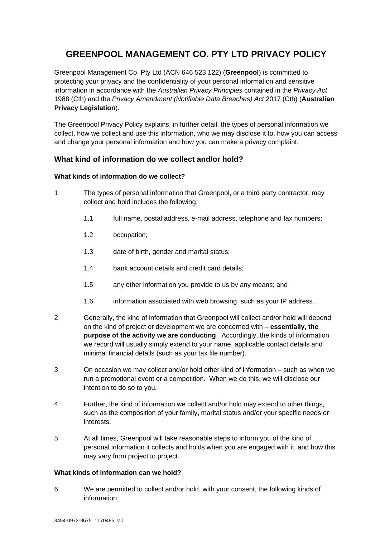# **GREENPOOL MANAGEMENT CO. PTY LTD PRIVACY POLICY**

Greenpool Management Co. Pty Ltd (ACN 646 523 122) (**Greenpool**) is committed to protecting your privacy and the confidentiality of your personal information and sensitive information in accordance with the *Australian Privacy Principles* contained in the *Privacy Act*  1988 (Cth) and the *Privacy Amendment (Notifiable Data Breaches) Act* 2017 (Cth) (**Australian Privacy Legislation**).

The Greenpool Privacy Policy explains, in further detail, the types of personal information we collect, how we collect and use this information, who we may disclose it to, how you can access and change your personal information and how you can make a privacy complaint.

# **What kind of information do we collect and/or hold?**

# **What kinds of information do we collect?**

- 1 The types of personal information that Greenpool, or a third party contractor, may collect and hold includes the following:
	- 1.1 full name, postal address, e-mail address, telephone and fax numbers;
	- 1.2 occupation;
	- 1.3 date of birth, gender and marital status;
	- 1.4 bank account details and credit card details;
	- 1.5 any other information you provide to us by any means; and
	- 1.6 information associated with web browsing, such as your IP address.
- 2 Generally, the kind of information that Greenpool will collect and/or hold will depend on the kind of project or development we are concerned with – **essentially, the purpose of the activity we are conducting**. Accordingly, the kinds of information we record will usually simply extend to your name, applicable contact details and minimal financial details (such as your tax file number).
- 3 On occasion we may collect and/or hold other kind of information such as when we run a promotional event or a competition. When we do this, we will disclose our intention to do so to you.
- 4 Further, the kind of information we collect and/or hold may extend to other things, such as the composition of your family, marital status and/or your specific needs or interests.
- 5 At all times, Greenpool will take reasonable steps to inform you of the kind of personal information it collects and holds when you are engaged with it, and how this may vary from project to project.

# **What kinds of information can we hold?**

6 We are permitted to collect and/or hold, with your consent, the following kinds of information: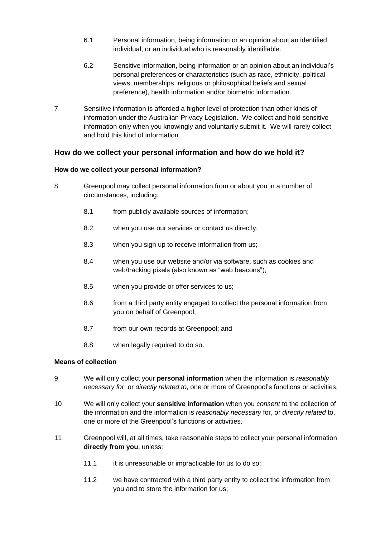- 6.1 Personal information, being information or an opinion about an identified individual, or an individual who is reasonably identifiable.
- 6.2 Sensitive information, being information or an opinion about an individual's personal preferences or characteristics (such as race, ethnicity, political views, memberships, religious or philosophical beliefs and sexual preference), health information and/or biometric information.
- 7 Sensitive information is afforded a higher level of protection than other kinds of information under the Australian Privacy Legislation. We collect and hold sensitive information only when you knowingly and voluntarily submit it. We will rarely collect and hold this kind of information.

# **How do we collect your personal information and how do we hold it?**

### **How do we collect your personal information?**

- 8 Greenpool may collect personal information from or about you in a number of circumstances, including:
	- 8.1 from publicly available sources of information;
	- 8.2 when you use our services or contact us directly;
	- 8.3 when you sign up to receive information from us;
	- 8.4 when you use our website and/or via software, such as cookies and web/tracking pixels (also known as "web beacons");
	- 8.5 when you provide or offer services to us;
	- 8.6 from a third party entity engaged to collect the personal information from you on behalf of Greenpool;
	- 8.7 from our own records at Greenpool; and
	- 8.8 when legally required to do so.

### **Means of collection**

- 9 We will only collect your **personal information** when the information is *reasonably necessary for*, or *directly related to*, one or more of Greenpool's functions or activities.
- 10 We will only collect your **sensitive information** when you *consent* to the collection of the information and the information is *reasonably necessary* for, or *directly related* to, one or more of the Greenpool's functions or activities.
- 11 Greenpool will, at all times, take reasonable steps to collect your personal information **directly from you**, unless:
	- 11.1 it is unreasonable or impracticable for us to do so;
	- 11.2 we have contracted with a third party entity to collect the information from you and to store the information for us;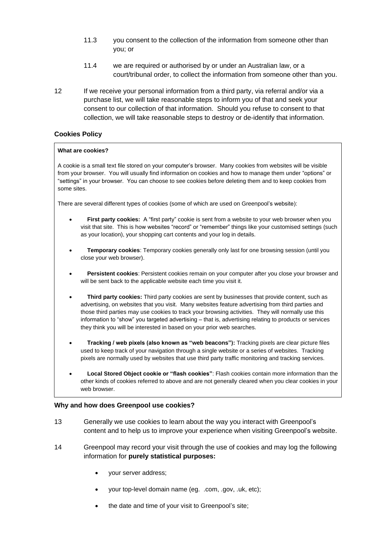- 11.3 you consent to the collection of the information from someone other than you; or
- 11.4 we are required or authorised by or under an Australian law, or a court/tribunal order, to collect the information from someone other than you.
- 12 If we receive your personal information from a third party, via referral and/or via a purchase list, we will take reasonable steps to inform you of that and seek your consent to our collection of that information. Should you refuse to consent to that collection, we will take reasonable steps to destroy or de-identify that information.

### **Cookies Policy**

#### **What are cookies?**

A cookie is a small text file stored on your computer's browser. Many cookies from websites will be visible from your browser. You will usually find information on cookies and how to manage them under "options" or "settings" in your browser. You can choose to see cookies before deleting them and to keep cookies from some sites.

There are several different types of cookies (some of which are used on Greenpool's website):

- **First party cookies:** A "first party" cookie is sent from a website to your web browser when you visit that site. This is how websites "record" or "remember" things like your customised settings (such as your location), your shopping cart contents and your log in details.
- **Temporary cookies**: Temporary cookies generally only last for one browsing session (until you close your web browser).
- **Persistent cookies**: Persistent cookies remain on your computer after you close your browser and will be sent back to the applicable website each time you visit it.
- **Third party cookies:** Third party cookies are sent by businesses that provide content, such as advertising, on websites that you visit. Many websites feature advertising from third parties and those third parties may use cookies to track your browsing activities. They will normally use this information to "show" you targeted advertising – that is, advertising relating to products or services they think you will be interested in based on your prior web searches.
- **Tracking / web pixels (also known as "web beacons"):** Tracking pixels are clear picture files used to keep track of your navigation through a single website or a series of websites. Tracking pixels are normally used by websites that use third party traffic monitoring and tracking services.
- **Local Stored Object cookie or "flash cookies"**: Flash cookies contain more information than the other kinds of cookies referred to above and are not generally cleared when you clear cookies in your web browser.

### **Why and how does Greenpool use cookies?**

- 13 Generally we use cookies to learn about the way you interact with Greenpool's content and to help us to improve your experience when visiting Greenpool's website.
- 14 Greenpool may record your visit through the use of cookies and may log the following information for **purely statistical purposes:**
	- your server address;
	- your top-level domain name (eg. .com, .gov, .uk, etc);
	- the date and time of your visit to Greenpool's site;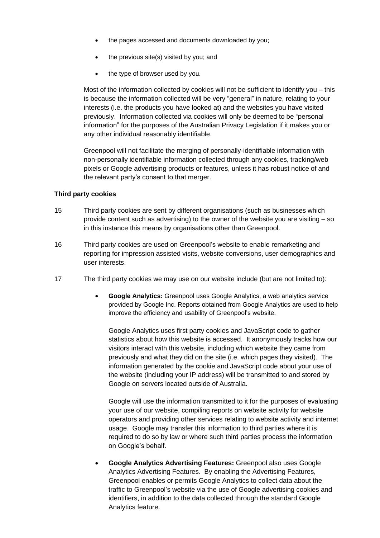- the pages accessed and documents downloaded by you;
- the previous site(s) visited by you; and
- the type of browser used by you.

Most of the information collected by cookies will not be sufficient to identify you – this is because the information collected will be very "general" in nature, relating to your interests (i.e. the products you have looked at) and the websites you have visited previously. Information collected via cookies will only be deemed to be "personal information" for the purposes of the Australian Privacy Legislation if it makes you or any other individual reasonably identifiable.

Greenpool will not facilitate the merging of personally-identifiable information with non-personally identifiable information collected through any cookies, tracking/web pixels or Google advertising products or features, unless it has robust notice of and the relevant party's consent to that merger.

### **Third party cookies**

- 15 Third party cookies are sent by different organisations (such as businesses which provide content such as advertising) to the owner of the website you are visiting – so in this instance this means by organisations other than Greenpool.
- 16 Third party cookies are used on Greenpool's website to enable remarketing and reporting for impression assisted visits, website conversions, user demographics and user interests.
- 17 The third party cookies we may use on our website include (but are not limited to):
	- **Google Analytics:** Greenpool uses Google Analytics, a web analytics service provided by Google Inc. Reports obtained from Google Analytics are used to help improve the efficiency and usability of Greenpool's website.

Google Analytics uses first party cookies and JavaScript code to gather statistics about how this website is accessed. It anonymously tracks how our visitors interact with this website, including which website they came from previously and what they did on the site (i.e. which pages they visited). The information generated by the cookie and JavaScript code about your use of the website (including your IP address) will be transmitted to and stored by Google on servers located outside of Australia.

Google will use the information transmitted to it for the purposes of evaluating your use of our website, compiling reports on website activity for website operators and providing other services relating to website activity and internet usage. Google may transfer this information to third parties where it is required to do so by law or where such third parties process the information on Google's behalf.

• **Google Analytics Advertising Features:** Greenpool also uses Google Analytics Advertising Features. By enabling the Advertising Features, Greenpool enables or permits Google Analytics to collect data about the traffic to Greenpool's website via the use of Google advertising cookies and identifiers, in addition to the data collected through the standard Google Analytics feature.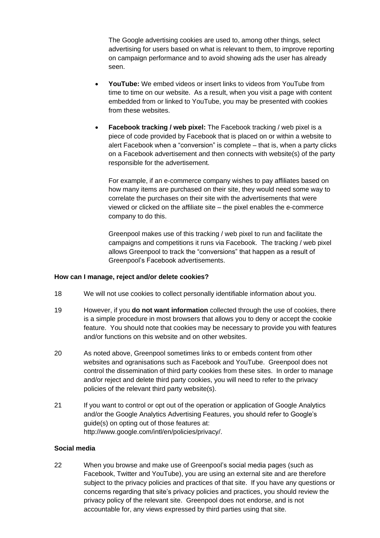The Google advertising cookies are used to, among other things, select advertising for users based on what is relevant to them, to improve reporting on campaign performance and to avoid showing ads the user has already seen.

- **YouTube:** We embed videos or insert links to videos from YouTube from time to time on our website. As a result, when you visit a page with content embedded from or linked to YouTube, you may be presented with cookies from these websites.
- **Facebook tracking / web pixel:** The Facebook tracking / web pixel is a piece of code provided by Facebook that is placed on or within a website to alert Facebook when a "conversion" is complete – that is, when a party clicks on a Facebook advertisement and then connects with website(s) of the party responsible for the advertisement.

For example, if an e-commerce company wishes to pay affiliates based on how many items are purchased on their site, they would need some way to correlate the purchases on their site with the advertisements that were viewed or clicked on the affiliate site – the pixel enables the e-commerce company to do this.

Greenpool makes use of this tracking / web pixel to run and facilitate the campaigns and competitions it runs via Facebook. The tracking / web pixel allows Greenpool to track the "conversions" that happen as a result of Greenpool's Facebook advertisements.

### **How can I manage, reject and/or delete cookies?**

- 18 We will not use cookies to collect personally identifiable information about you.
- 19 However, if you **do not want information** collected through the use of cookies, there is a simple procedure in most browsers that allows you to deny or accept the cookie feature. You should note that cookies may be necessary to provide you with features and/or functions on this website and on other websites.
- 20 As noted above, Greenpool sometimes links to or embeds content from other websites and ogranisations such as Facebook and YouTube. Greenpool does not control the dissemination of third party cookies from these sites. In order to manage and/or reject and delete third party cookies, you will need to refer to the privacy policies of the relevant third party website(s).
- 21 If you want to control or opt out of the operation or application of Google Analytics and/or the Google Analytics Advertising Features, you should refer to Google's guide(s) on opting out of those features at: http://www.google.com/intl/en/policies/privacy/.

### **Social media**

22 When you browse and make use of Greenpool's social media pages (such as Facebook, Twitter and YouTube), you are using an external site and are therefore subject to the privacy policies and practices of that site. If you have any questions or concerns regarding that site's privacy policies and practices, you should review the privacy policy of the relevant site. Greenpool does not endorse, and is not accountable for, any views expressed by third parties using that site.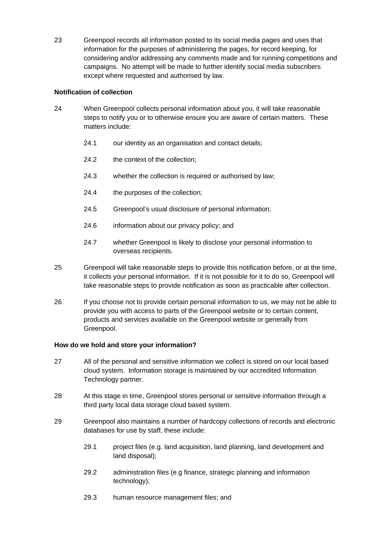23 Greenpool records all information posted to its social media pages and uses that information for the purposes of administering the pages, for record keeping, for considering and/or addressing any comments made and for running competitions and campaigns. No attempt will be made to further identify social media subscribers except where requested and authorised by law.

# **Notification of collection**

- 24 When Greenpool collects personal information about you, it will take reasonable steps to notify you or to otherwise ensure you are aware of certain matters. These matters include:
	- 24.1 our identity as an organisation and contact details;
	- 24.2 the context of the collection:
	- 24.3 whether the collection is required or authorised by law;
	- 24.4 the purposes of the collection;
	- 24.5 Greenpool's usual disclosure of personal information;
	- 24.6 information about our privacy policy; and
	- 24.7 whether Greenpool is likely to disclose your personal information to overseas recipients.
- 25 Greenpool will take reasonable steps to provide this notification before, or at the time, it collects your personal information. If it is not possible for it to do so, Greenpool will take reasonable steps to provide notification as soon as practicable after collection.
- 26 If you choose not to provide certain personal information to us, we may not be able to provide you with access to parts of the Greenpool website or to certain content, products and services available on the Greenpool website or generally from Greenpool.

# **How do we hold and store your information?**

- 27 All of the personal and sensitive information we collect is stored on our local based cloud system. Information storage is maintained by our accredited Information Technology partner.
- 28 At this stage in time, Greenpool stores personal or sensitive information through a third party local data storage cloud based system.
- 29 Greenpool also maintains a number of hardcopy collections of records and electronic databases for use by staff, these include:
	- 29.1 project files (e.g. land acquisition, land planning, land development and land disposal);
	- 29.2 administration files (e.g finance, strategic planning and information technology);
	- 29.3 human resource management files; and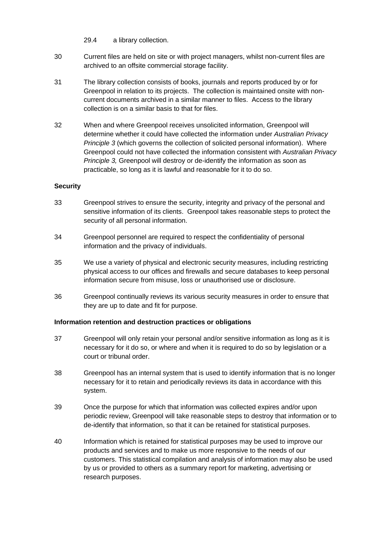29.4 a library collection.

- 30 Current files are held on site or with project managers, whilst non-current files are archived to an offsite commercial storage facility.
- 31 The library collection consists of books, journals and reports produced by or for Greenpool in relation to its projects. The collection is maintained onsite with noncurrent documents archived in a similar manner to files. Access to the library collection is on a similar basis to that for files.
- 32 When and where Greenpool receives unsolicited information, Greenpool will determine whether it could have collected the information under *Australian Privacy Principle 3* (which governs the collection of solicited personal information). Where Greenpool could not have collected the information consistent with *Australian Privacy Principle 3,* Greenpool will destroy or de-identify the information as soon as practicable, so long as it is lawful and reasonable for it to do so.

### **Security**

- 33 Greenpool strives to ensure the security, integrity and privacy of the personal and sensitive information of its clients. Greenpool takes reasonable steps to protect the security of all personal information.
- 34 Greenpool personnel are required to respect the confidentiality of personal information and the privacy of individuals.
- 35 We use a variety of physical and electronic security measures, including restricting physical access to our offices and firewalls and secure databases to keep personal information secure from misuse, loss or unauthorised use or disclosure.
- 36 Greenpool continually reviews its various security measures in order to ensure that they are up to date and fit for purpose.

### **Information retention and destruction practices or obligations**

- 37 Greenpool will only retain your personal and/or sensitive information as long as it is necessary for it do so, or where and when it is required to do so by legislation or a court or tribunal order.
- 38 Greenpool has an internal system that is used to identify information that is no longer necessary for it to retain and periodically reviews its data in accordance with this system.
- 39 Once the purpose for which that information was collected expires and/or upon periodic review, Greenpool will take reasonable steps to destroy that information or to de-identify that information, so that it can be retained for statistical purposes.
- 40 Information which is retained for statistical purposes may be used to improve our products and services and to make us more responsive to the needs of our customers. This statistical compilation and analysis of information may also be used by us or provided to others as a summary report for marketing, advertising or research purposes.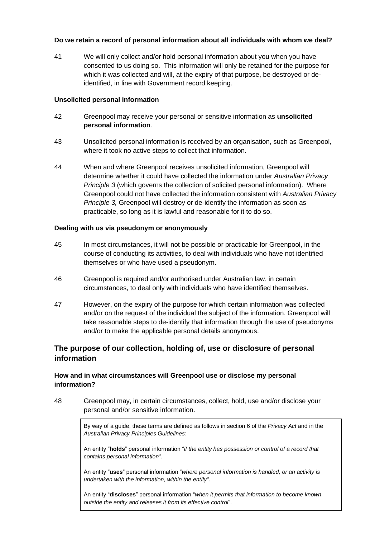### **Do we retain a record of personal information about all individuals with whom we deal?**

41 We will only collect and/or hold personal information about you when you have consented to us doing so. This information will only be retained for the purpose for which it was collected and will, at the expiry of that purpose, be destroyed or deidentified, in line with Government record keeping.

### **Unsolicited personal information**

- 42 Greenpool may receive your personal or sensitive information as **unsolicited personal information**.
- 43 Unsolicited personal information is received by an organisation, such as Greenpool, where it took no active steps to collect that information.
- 44 When and where Greenpool receives unsolicited information, Greenpool will determine whether it could have collected the information under *Australian Privacy Principle 3* (which governs the collection of solicited personal information). Where Greenpool could not have collected the information consistent with *Australian Privacy Principle 3,* Greenpool will destroy or de-identify the information as soon as practicable, so long as it is lawful and reasonable for it to do so.

### **Dealing with us via pseudonym or anonymously**

- 45 In most circumstances, it will not be possible or practicable for Greenpool, in the course of conducting its activities, to deal with individuals who have not identified themselves or who have used a pseudonym.
- 46 Greenpool is required and/or authorised under Australian law, in certain circumstances, to deal only with individuals who have identified themselves.
- 47 However, on the expiry of the purpose for which certain information was collected and/or on the request of the individual the subject of the information, Greenpool will take reasonable steps to de-identify that information through the use of pseudonyms and/or to make the applicable personal details anonymous.

# **The purpose of our collection, holding of, use or disclosure of personal information**

# **How and in what circumstances will Greenpool use or disclose my personal information?**

48 Greenpool may, in certain circumstances, collect, hold, use and/or disclose your personal and/or sensitive information.

> By way of a guide, these terms are defined as follows in section 6 of the *Privacy Act* and in the *Australian Privacy Principles Guidelines*:

An entity "**holds**" personal information "*if the entity has possession or control of a record that contains personal information".*

An entity "**uses**" personal information "*where personal information is handled, or an activity is undertaken with the information, within the entity"*.

An entity "**discloses**" personal information "*when it permits that information to become known outside the entity and releases it from its effective control*".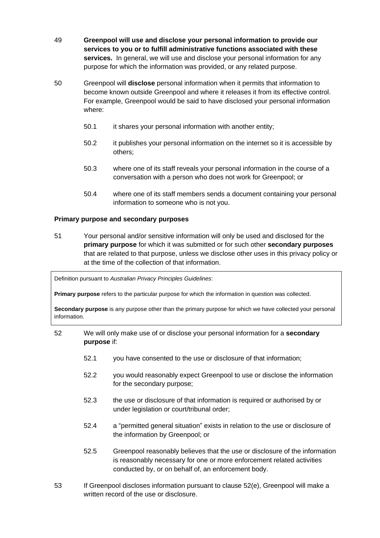- 49 **Greenpool will use and disclose your personal information to provide our services to you or to fulfill administrative functions associated with these services.** In general, we will use and disclose your personal information for any purpose for which the information was provided, or any related purpose.
- 50 Greenpool will **disclose** personal information when it permits that information to become known outside Greenpool and where it releases it from its effective control. For example, Greenpool would be said to have disclosed your personal information where:
	- 50.1 it shares your personal information with another entity;
	- 50.2 it publishes your personal information on the internet so it is accessible by others;
	- 50.3 where one of its staff reveals your personal information in the course of a conversation with a person who does not work for Greenpool; or
	- 50.4 where one of its staff members sends a document containing your personal information to someone who is not you.

### **Primary purpose and secondary purposes**

51 Your personal and/or sensitive information will only be used and disclosed for the **primary purpose** for which it was submitted or for such other **secondary purposes** that are related to that purpose, unless we disclose other uses in this privacy policy or at the time of the collection of that information.

Definition pursuant to *Australian Privacy Principles Guidelines*:

**Primary purpose** refers to the particular purpose for which the information in question was collected.

**Secondary purpose** is any purpose other than the primary purpose for which we have collected your personal information.

- 52 We will only make use of or disclose your personal information for a **secondary purpose** if:
	- 52.1 you have consented to the use or disclosure of that information;
	- 52.2 you would reasonably expect Greenpool to use or disclose the information for the secondary purpose;
	- 52.3 the use or disclosure of that information is required or authorised by or under legislation or court/tribunal order;
	- 52.4 a "permitted general situation" exists in relation to the use or disclosure of the information by Greenpool; or
	- 52.5 Greenpool reasonably believes that the use or disclosure of the information is reasonably necessary for one or more enforcement related activities conducted by, or on behalf of, an enforcement body.
- 53 If Greenpool discloses information pursuant to clause 52(e), Greenpool will make a written record of the use or disclosure.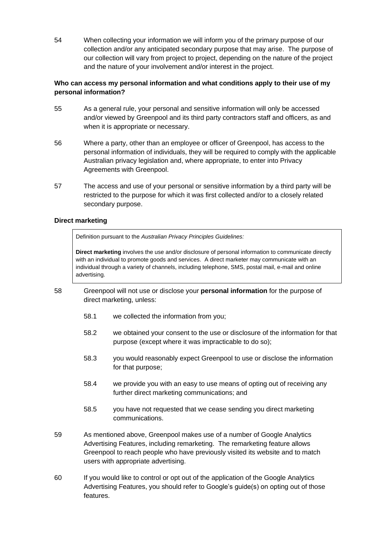54 When collecting your information we will inform you of the primary purpose of our collection and/or any anticipated secondary purpose that may arise. The purpose of our collection will vary from project to project, depending on the nature of the project and the nature of your involvement and/or interest in the project.

# **Who can access my personal information and what conditions apply to their use of my personal information?**

- 55 As a general rule, your personal and sensitive information will only be accessed and/or viewed by Greenpool and its third party contractors staff and officers, as and when it is appropriate or necessary.
- 56 Where a party, other than an employee or officer of Greenpool, has access to the personal information of individuals, they will be required to comply with the applicable Australian privacy legislation and, where appropriate, to enter into Privacy Agreements with Greenpool.
- 57 The access and use of your personal or sensitive information by a third party will be restricted to the purpose for which it was first collected and/or to a closely related secondary purpose.

### **Direct marketing**

Definition pursuant to the *Australian Privacy Principles Guidelines:*

**Direct marketing** involves the use and/or disclosure of personal information to communicate directly with an individual to promote goods and services. A direct marketer may communicate with an individual through a variety of channels, including telephone, SMS, postal mail, e-mail and online advertising.

- 58 Greenpool will not use or disclose your **personal information** for the purpose of direct marketing, unless:
	- 58.1 we collected the information from you;
	- 58.2 we obtained your consent to the use or disclosure of the information for that purpose (except where it was impracticable to do so);
	- 58.3 you would reasonably expect Greenpool to use or disclose the information for that purpose;
	- 58.4 we provide you with an easy to use means of opting out of receiving any further direct marketing communications; and
	- 58.5 you have not requested that we cease sending you direct marketing communications.
- 59 As mentioned above, Greenpool makes use of a number of Google Analytics Advertising Features, including remarketing. The remarketing feature allows Greenpool to reach people who have previously visited its website and to match users with appropriate advertising.
- 60 If you would like to control or opt out of the application of the Google Analytics Advertising Features, you should refer to Google's guide(s) on opting out of those features.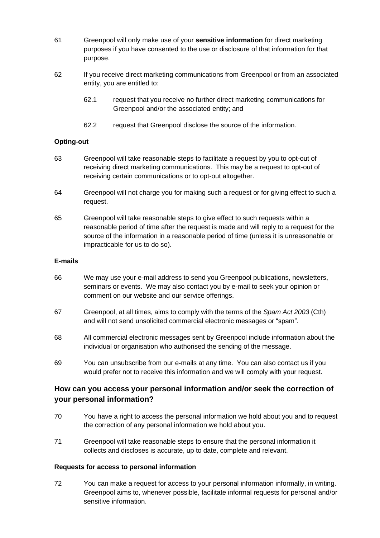- 61 Greenpool will only make use of your **sensitive information** for direct marketing purposes if you have consented to the use or disclosure of that information for that purpose.
- 62 If you receive direct marketing communications from Greenpool or from an associated entity, you are entitled to:
	- 62.1 request that you receive no further direct marketing communications for Greenpool and/or the associated entity; and
	- 62.2 request that Greenpool disclose the source of the information.

# **Opting-out**

- 63 Greenpool will take reasonable steps to facilitate a request by you to opt-out of receiving direct marketing communications. This may be a request to opt-out of receiving certain communications or to opt-out altogether.
- 64 Greenpool will not charge you for making such a request or for giving effect to such a request.
- 65 Greenpool will take reasonable steps to give effect to such requests within a reasonable period of time after the request is made and will reply to a request for the source of the information in a reasonable period of time (unless it is unreasonable or impracticable for us to do so).

### **E-mails**

- 66 We may use your e-mail address to send you Greenpool publications, newsletters, seminars or events. We may also contact you by e-mail to seek your opinion or comment on our website and our service offerings.
- 67 Greenpool, at all times, aims to comply with the terms of the *Spam Act 2003* (Cth) and will not send unsolicited commercial electronic messages or "spam".
- 68 All commercial electronic messages sent by Greenpool include information about the individual or organisation who authorised the sending of the message.
- 69 You can unsubscribe from our e-mails at any time. You can also contact us if you would prefer not to receive this information and we will comply with your request.

# **How can you access your personal information and/or seek the correction of your personal information?**

- 70 You have a right to access the personal information we hold about you and to request the correction of any personal information we hold about you.
- 71 Greenpool will take reasonable steps to ensure that the personal information it collects and discloses is accurate, up to date, complete and relevant.

# **Requests for access to personal information**

72 You can make a request for access to your personal information informally, in writing. Greenpool aims to, whenever possible, facilitate informal requests for personal and/or sensitive information.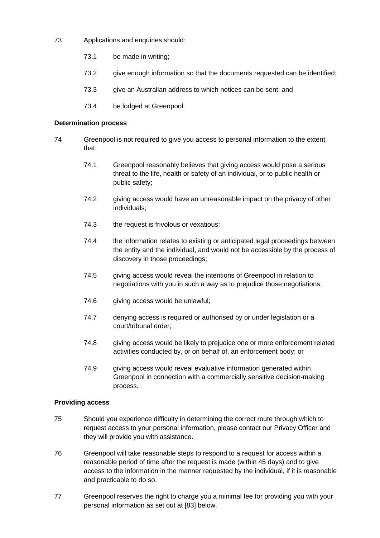- 73 Applications and enquiries should:
	- 73.1 be made in writing;
	- 73.2 give enough information so that the documents requested can be identified;
	- 73.3 give an Australian address to which notices can be sent; and
	- 73.4 be lodged at Greenpool.

### **Determination process**

- 74 Greenpool is not required to give you access to personal information to the extent that:
	- 74.1 Greenpool reasonably believes that giving access would pose a serious threat to the life, health or safety of an individual, or to public health or public safety;
	- 74.2 giving access would have an unreasonable impact on the privacy of other individuals;
	- 74.3 the request is frivolous or vexatious;
	- 74.4 the information relates to existing or anticipated legal proceedings between the entity and the individual, and would not be accessible by the process of discovery in those proceedings;
	- 74.5 giving access would reveal the intentions of Greenpool in relation to negotiations with you in such a way as to prejudice those negotiations;
	- 74.6 giving access would be unlawful;
	- 74.7 denying access is required or authorised by or under legislation or a court/tribunal order;
	- 74.8 giving access would be likely to prejudice one or more enforcement related activities conducted by, or on behalf of, an enforcement body; or
	- 74.9 giving access would reveal evaluative information generated within Greenpool in connection with a commercially sensitive decision-making process.

### **Providing access**

- 75 Should you experience difficulty in determining the correct route through which to request access to your personal information, please contact our Privacy Officer and they will provide you with assistance.
- 76 Greenpool will take reasonable steps to respond to a request for access within a reasonable period of time after the request is made (within 45 days) and to give access to the information in the manner requested by the individual, if it is reasonable and practicable to do so.
- 77 Greenpool reserves the right to charge you a minimal fee for providing you with your personal information as set out at [83] below.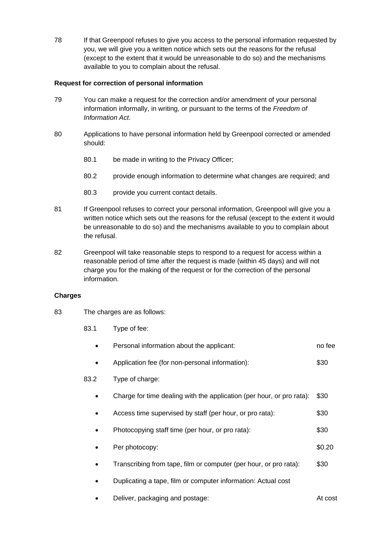78 If that Greenpool refuses to give you access to the personal information requested by you, we will give you a written notice which sets out the reasons for the refusal (except to the extent that it would be unreasonable to do so) and the mechanisms available to you to complain about the refusal.

# **Request for correction of personal information**

- 79 You can make a request for the correction and/or amendment of your personal information informally, in writing, or pursuant to the terms of the *Freedom of Information Act*.
- 80 Applications to have personal information held by Greenpool corrected or amended should:
	- 80.1 be made in writing to the Privacy Officer;
	- 80.2 provide enough information to determine what changes are required; and
	- 80.3 provide you current contact details.
- 81 If Greenpool refuses to correct your personal information, Greenpool will give you a written notice which sets out the reasons for the refusal (except to the extent it would be unreasonable to do so) and the mechanisms available to you to complain about the refusal.
- 82 Greenpool will take reasonable steps to respond to a request for access within a reasonable period of time after the request is made (within 45 days) and will not charge you for the making of the request or for the correction of the personal information.

# **Charges**

- 83 The charges are as follows:
	- 83.1 Type of fee:

|      | Personal information about the applicant:                             | no fee |
|------|-----------------------------------------------------------------------|--------|
|      | Application fee (for non-personal information):                       | \$30   |
| 83.2 | Type of charge:                                                       |        |
|      | Charge for time dealing with the application (per hour, or pro rata): | \$30   |
|      | Access time supervised by staff (per hour, or pro rata):              | \$30   |
|      | Photocopying staff time (per hour, or pro rata):                      | \$30   |
|      | Per photocopy:                                                        | \$0.20 |
|      | Transcribing from tape, film or computer (per hour, or pro rata):     | \$30   |
|      | Duplicating a tape, film or computer information: Actual cost         |        |
|      |                                                                       |        |

**Deliver, packaging and postage:** At cost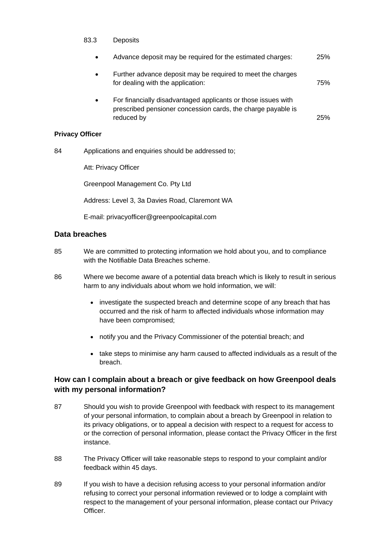### 83.3 Deposits

• Advance deposit may be required for the estimated charges: 25% • Further advance deposit may be required to meet the charges for dealing with the application: 75% • For financially disadvantaged applicants or those issues with prescribed pensioner concession cards, the charge payable is reduced by 25%

### **Privacy Officer**

84 Applications and enquiries should be addressed to;

Att: Privacy Officer

Greenpool Management Co. Pty Ltd

Address: Level 3, 3a Davies Road, Claremont WA

E-mail: privacyofficer@greenpoolcapital.com

# **Data breaches**

- 85 We are committed to protecting information we hold about you, and to compliance with the Notifiable Data Breaches scheme.
- 86 Where we become aware of a potential data breach which is likely to result in serious harm to any individuals about whom we hold information, we will:
	- investigate the suspected breach and determine scope of any breach that has occurred and the risk of harm to affected individuals whose information may have been compromised;
	- notify you and the Privacy Commissioner of the potential breach; and
	- take steps to minimise any harm caused to affected individuals as a result of the breach.

# **How can I complain about a breach or give feedback on how Greenpool deals with my personal information?**

- 87 Should you wish to provide Greenpool with feedback with respect to its management of your personal information, to complain about a breach by Greenpool in relation to its privacy obligations, or to appeal a decision with respect to a request for access to or the correction of personal information, please contact the Privacy Officer in the first instance.
- 88 The Privacy Officer will take reasonable steps to respond to your complaint and/or feedback within 45 days.
- 89 If you wish to have a decision refusing access to your personal information and/or refusing to correct your personal information reviewed or to lodge a complaint with respect to the management of your personal information, please contact our Privacy Officer.